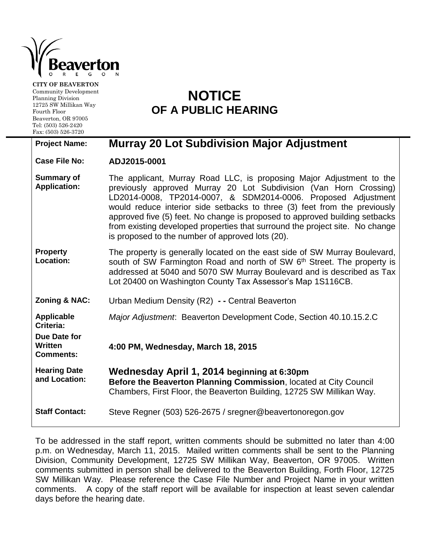

**CITY OF BEAVERTON** Community Development Planning Division 12725 SW Millikan Way Fourth Floor Beaverton, OR 97005 Tel: (503) 526-2420 Fax: (503) 526-3720

## **NOTICE OF A PUBLIC HEARING**

## **Project Name: Murray 20 Lot Subdivision Major Adjustment**

**Case File No: ADJ2015-0001**

| <b>Summary of</b><br><b>Application:</b>    | The applicant, Murray Road LLC, is proposing Major Adjustment to the<br>previously approved Murray 20 Lot Subdivision (Van Horn Crossing)<br>LD2014-0008, TP2014-0007, & SDM2014-0006. Proposed Adjustment<br>would reduce interior side setbacks to three (3) feet from the previously<br>approved five (5) feet. No change is proposed to approved building setbacks<br>from existing developed properties that surround the project site. No change<br>is proposed to the number of approved lots (20). |
|---------------------------------------------|------------------------------------------------------------------------------------------------------------------------------------------------------------------------------------------------------------------------------------------------------------------------------------------------------------------------------------------------------------------------------------------------------------------------------------------------------------------------------------------------------------|
| <b>Property</b><br><b>Location:</b>         | The property is generally located on the east side of SW Murray Boulevard,<br>south of SW Farmington Road and north of SW 6 <sup>th</sup> Street. The property is<br>addressed at 5040 and 5070 SW Murray Boulevard and is described as Tax<br>Lot 20400 on Washington County Tax Assessor's Map 1S116CB.                                                                                                                                                                                                  |
| <b>Zoning &amp; NAC:</b>                    | Urban Medium Density (R2) - - Central Beaverton                                                                                                                                                                                                                                                                                                                                                                                                                                                            |
| <b>Applicable</b><br>Criteria:              | Major Adjustment: Beaverton Development Code, Section 40.10.15.2.C                                                                                                                                                                                                                                                                                                                                                                                                                                         |
|                                             |                                                                                                                                                                                                                                                                                                                                                                                                                                                                                                            |
| Due Date for<br>Written<br><b>Comments:</b> | 4:00 PM, Wednesday, March 18, 2015                                                                                                                                                                                                                                                                                                                                                                                                                                                                         |
| <b>Hearing Date</b><br>and Location:        | Wednesday April 1, 2014 beginning at 6:30pm<br>Before the Beaverton Planning Commission, located at City Council<br>Chambers, First Floor, the Beaverton Building, 12725 SW Millikan Way.                                                                                                                                                                                                                                                                                                                  |

To be addressed in the staff report, written comments should be submitted no later than 4:00 p.m. on Wednesday, March 11, 2015. Mailed written comments shall be sent to the Planning Division, Community Development, 12725 SW Millikan Way, Beaverton, OR 97005. Written comments submitted in person shall be delivered to the Beaverton Building, Forth Floor, 12725 SW Millikan Way. Please reference the Case File Number and Project Name in your written comments. A copy of the staff report will be available for inspection at least seven calendar days before the hearing date.